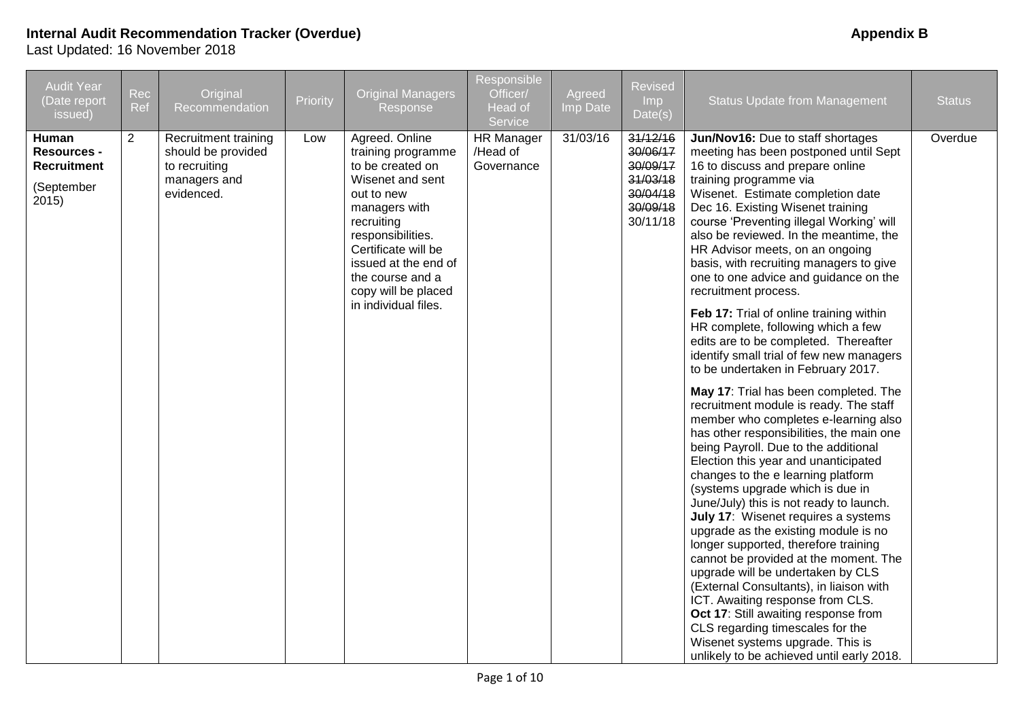| <b>Audit Year</b><br>(Date report<br>issued)                             | Rec<br>Ref | Original<br>Recommendation                                                                | Priority | <b>Original Managers</b><br>Response                                                                                                                                                                                                                             | Responsible<br>Officer/<br>Head of<br>Service | Agreed<br>Imp Date | <b>Revised</b><br>Imp<br>Date(s)                                                 | <b>Status Update from Management</b>                                                                                                                                                                                                                                                                                                                                                                                                                                                                                                                                                                                                                                                                                                                                                                                                                                                                                                                                                                                                                                                                                                                                                                                                                                                                                                                                                                                                                                                             | <b>Status</b> |
|--------------------------------------------------------------------------|------------|-------------------------------------------------------------------------------------------|----------|------------------------------------------------------------------------------------------------------------------------------------------------------------------------------------------------------------------------------------------------------------------|-----------------------------------------------|--------------------|----------------------------------------------------------------------------------|--------------------------------------------------------------------------------------------------------------------------------------------------------------------------------------------------------------------------------------------------------------------------------------------------------------------------------------------------------------------------------------------------------------------------------------------------------------------------------------------------------------------------------------------------------------------------------------------------------------------------------------------------------------------------------------------------------------------------------------------------------------------------------------------------------------------------------------------------------------------------------------------------------------------------------------------------------------------------------------------------------------------------------------------------------------------------------------------------------------------------------------------------------------------------------------------------------------------------------------------------------------------------------------------------------------------------------------------------------------------------------------------------------------------------------------------------------------------------------------------------|---------------|
| Human<br><b>Resources -</b><br><b>Recruitment</b><br>(September<br>2015) | 2          | Recruitment training<br>should be provided<br>to recruiting<br>managers and<br>evidenced. | Low      | Agreed. Online<br>training programme<br>to be created on<br>Wisenet and sent<br>out to new<br>managers with<br>recruiting<br>responsibilities.<br>Certificate will be<br>issued at the end of<br>the course and a<br>copy will be placed<br>in individual files. | <b>HR</b> Manager<br>/Head of<br>Governance   | 31/03/16           | 31/12/16<br>30/06/17<br>30/09/17<br>31/03/18<br>30/04/18<br>30/09/18<br>30/11/18 | Jun/Nov16: Due to staff shortages<br>meeting has been postponed until Sept<br>16 to discuss and prepare online<br>training programme via<br>Wisenet. Estimate completion date<br>Dec 16. Existing Wisenet training<br>course 'Preventing illegal Working' will<br>also be reviewed. In the meantime, the<br>HR Advisor meets, on an ongoing<br>basis, with recruiting managers to give<br>one to one advice and guidance on the<br>recruitment process.<br>Feb 17: Trial of online training within<br>HR complete, following which a few<br>edits are to be completed. Thereafter<br>identify small trial of few new managers<br>to be undertaken in February 2017.<br>May 17: Trial has been completed. The<br>recruitment module is ready. The staff<br>member who completes e-learning also<br>has other responsibilities, the main one<br>being Payroll. Due to the additional<br>Election this year and unanticipated<br>changes to the e learning platform<br>(systems upgrade which is due in<br>June/July) this is not ready to launch.<br>July 17: Wisenet requires a systems<br>upgrade as the existing module is no<br>longer supported, therefore training<br>cannot be provided at the moment. The<br>upgrade will be undertaken by CLS<br>(External Consultants), in liaison with<br>ICT. Awaiting response from CLS.<br>Oct 17: Still awaiting response from<br>CLS regarding timescales for the<br>Wisenet systems upgrade. This is<br>unlikely to be achieved until early 2018. | Overdue       |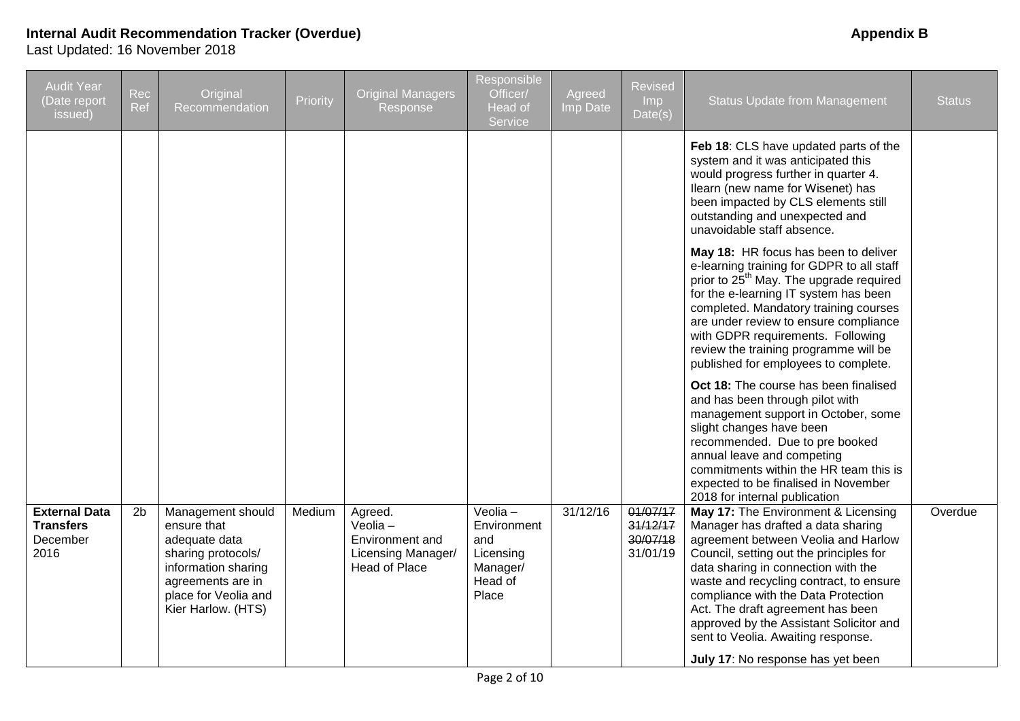| <b>Audit Year</b><br>(Date report<br>issued)                 | Rec<br>Ref     | Original<br>Recommendation                                                                                                                                        | Priority | <b>Original Managers</b><br>Response                                                   | Responsible<br>Officer/<br>Head of<br>Service                              | Agreed<br>Imp Date | Revised<br>Imp<br>Date(s)                    | <b>Status Update from Management</b>                                                                                                                                                                                                                                                                                                                                                                                                                                                                                                                                                                                                                                                                                                     | <b>Status</b> |
|--------------------------------------------------------------|----------------|-------------------------------------------------------------------------------------------------------------------------------------------------------------------|----------|----------------------------------------------------------------------------------------|----------------------------------------------------------------------------|--------------------|----------------------------------------------|------------------------------------------------------------------------------------------------------------------------------------------------------------------------------------------------------------------------------------------------------------------------------------------------------------------------------------------------------------------------------------------------------------------------------------------------------------------------------------------------------------------------------------------------------------------------------------------------------------------------------------------------------------------------------------------------------------------------------------------|---------------|
|                                                              |                |                                                                                                                                                                   |          |                                                                                        |                                                                            |                    |                                              | Feb 18: CLS have updated parts of the<br>system and it was anticipated this<br>would progress further in quarter 4.<br>Ilearn (new name for Wisenet) has<br>been impacted by CLS elements still<br>outstanding and unexpected and<br>unavoidable staff absence.<br>May 18: HR focus has been to deliver<br>e-learning training for GDPR to all staff<br>prior to 25 <sup>th</sup> May. The upgrade required<br>for the e-learning IT system has been<br>completed. Mandatory training courses<br>are under review to ensure compliance<br>with GDPR requirements. Following<br>review the training programme will be<br>published for employees to complete.<br>Oct 18: The course has been finalised<br>and has been through pilot with |               |
|                                                              |                |                                                                                                                                                                   |          |                                                                                        |                                                                            |                    |                                              | management support in October, some<br>slight changes have been<br>recommended. Due to pre booked<br>annual leave and competing<br>commitments within the HR team this is<br>expected to be finalised in November<br>2018 for internal publication                                                                                                                                                                                                                                                                                                                                                                                                                                                                                       |               |
| <b>External Data</b><br><b>Transfers</b><br>December<br>2016 | 2 <sub>b</sub> | Management should<br>ensure that<br>adequate data<br>sharing protocols/<br>information sharing<br>agreements are in<br>place for Veolia and<br>Kier Harlow. (HTS) | Medium   | Agreed.<br>$Veolia -$<br>Environment and<br>Licensing Manager/<br><b>Head of Place</b> | Veolia-<br>Environment<br>and<br>Licensing<br>Manager/<br>Head of<br>Place | 31/12/16           | 01/07/17<br>31/12/17<br>30/07/18<br>31/01/19 | May 17: The Environment & Licensing<br>Manager has drafted a data sharing<br>agreement between Veolia and Harlow<br>Council, setting out the principles for<br>data sharing in connection with the<br>waste and recycling contract, to ensure<br>compliance with the Data Protection<br>Act. The draft agreement has been<br>approved by the Assistant Solicitor and<br>sent to Veolia. Awaiting response.<br>July 17: No response has yet been                                                                                                                                                                                                                                                                                          | Overdue       |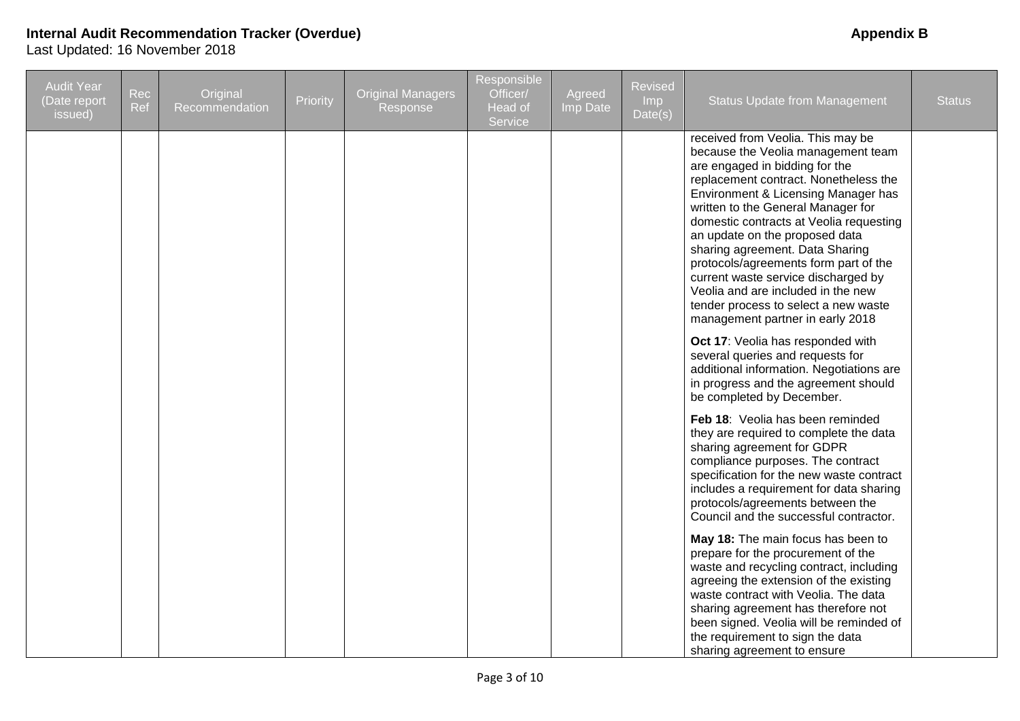| <b>Audit Year</b><br>(Date report<br>issued) | Rec<br>Ref | Original<br>Recommendation | Priority | <b>Original Managers</b><br>Response | Responsible<br>Officer/<br>Head of<br>Service | Agreed<br>Imp Date | <b>Revised</b><br>Imp<br>Date(s) | <b>Status Update from Management</b>                                                                                                                                                                                                                                                                                                                                                                                                                                                                                                              | <b>Status</b> |
|----------------------------------------------|------------|----------------------------|----------|--------------------------------------|-----------------------------------------------|--------------------|----------------------------------|---------------------------------------------------------------------------------------------------------------------------------------------------------------------------------------------------------------------------------------------------------------------------------------------------------------------------------------------------------------------------------------------------------------------------------------------------------------------------------------------------------------------------------------------------|---------------|
|                                              |            |                            |          |                                      |                                               |                    |                                  | received from Veolia. This may be<br>because the Veolia management team<br>are engaged in bidding for the<br>replacement contract. Nonetheless the<br>Environment & Licensing Manager has<br>written to the General Manager for<br>domestic contracts at Veolia requesting<br>an update on the proposed data<br>sharing agreement. Data Sharing<br>protocols/agreements form part of the<br>current waste service discharged by<br>Veolia and are included in the new<br>tender process to select a new waste<br>management partner in early 2018 |               |
|                                              |            |                            |          |                                      |                                               |                    |                                  | Oct 17: Veolia has responded with<br>several queries and requests for<br>additional information. Negotiations are<br>in progress and the agreement should<br>be completed by December.                                                                                                                                                                                                                                                                                                                                                            |               |
|                                              |            |                            |          |                                      |                                               |                    |                                  | Feb 18: Veolia has been reminded<br>they are required to complete the data<br>sharing agreement for GDPR<br>compliance purposes. The contract<br>specification for the new waste contract<br>includes a requirement for data sharing<br>protocols/agreements between the<br>Council and the successful contractor.                                                                                                                                                                                                                                |               |
|                                              |            |                            |          |                                      |                                               |                    |                                  | May 18: The main focus has been to<br>prepare for the procurement of the<br>waste and recycling contract, including<br>agreeing the extension of the existing<br>waste contract with Veolia. The data<br>sharing agreement has therefore not<br>been signed. Veolia will be reminded of<br>the requirement to sign the data<br>sharing agreement to ensure                                                                                                                                                                                        |               |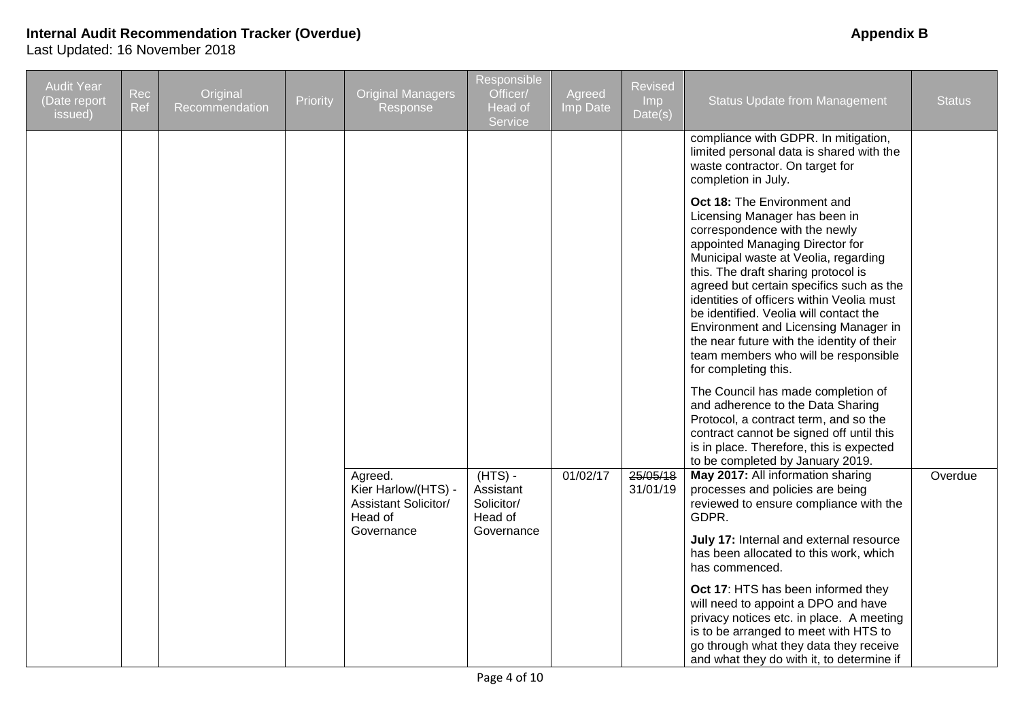| <b>Audit Year</b><br>Date report<br>issued) | Rec<br>Ref | Original<br>Recommendation | Priority | <b>Original Managers</b><br>Response                          | <b>Responsible</b><br>Officer/<br>Head of<br>Service | Agreed<br>Imp Date | <b>Revised</b><br>Imp<br>Date(s) | <b>Status Update from Management</b>                                                                                                                                                                                                                                                                                                                                                                                                                                                                            | <b>Status</b> |
|---------------------------------------------|------------|----------------------------|----------|---------------------------------------------------------------|------------------------------------------------------|--------------------|----------------------------------|-----------------------------------------------------------------------------------------------------------------------------------------------------------------------------------------------------------------------------------------------------------------------------------------------------------------------------------------------------------------------------------------------------------------------------------------------------------------------------------------------------------------|---------------|
|                                             |            |                            |          |                                                               |                                                      |                    |                                  | compliance with GDPR. In mitigation,<br>limited personal data is shared with the<br>waste contractor. On target for<br>completion in July.                                                                                                                                                                                                                                                                                                                                                                      |               |
|                                             |            |                            |          |                                                               |                                                      |                    |                                  | <b>Oct 18: The Environment and</b><br>Licensing Manager has been in<br>correspondence with the newly<br>appointed Managing Director for<br>Municipal waste at Veolia, regarding<br>this. The draft sharing protocol is<br>agreed but certain specifics such as the<br>identities of officers within Veolia must<br>be identified. Veolia will contact the<br>Environment and Licensing Manager in<br>the near future with the identity of their<br>team members who will be responsible<br>for completing this. |               |
|                                             |            |                            |          | Agreed.<br>Kier Harlow/(HTS) -<br><b>Assistant Solicitor/</b> | $(HTS) -$<br>Assistant<br>Solicitor/                 | 01/02/17           | 25/05/18<br>31/01/19             | The Council has made completion of<br>and adherence to the Data Sharing<br>Protocol, a contract term, and so the<br>contract cannot be signed off until this<br>is in place. Therefore, this is expected<br>to be completed by January 2019.<br>May 2017: All information sharing<br>processes and policies are being<br>reviewed to ensure compliance with the                                                                                                                                                 | Overdue       |
|                                             |            |                            |          | Head of<br>Governance                                         | Head of<br>Governance                                |                    |                                  | GDPR.<br>July 17: Internal and external resource<br>has been allocated to this work, which<br>has commenced.                                                                                                                                                                                                                                                                                                                                                                                                    |               |
|                                             |            |                            |          |                                                               |                                                      |                    |                                  | Oct 17: HTS has been informed they<br>will need to appoint a DPO and have<br>privacy notices etc. in place. A meeting<br>is to be arranged to meet with HTS to<br>go through what they data they receive<br>and what they do with it, to determine if                                                                                                                                                                                                                                                           |               |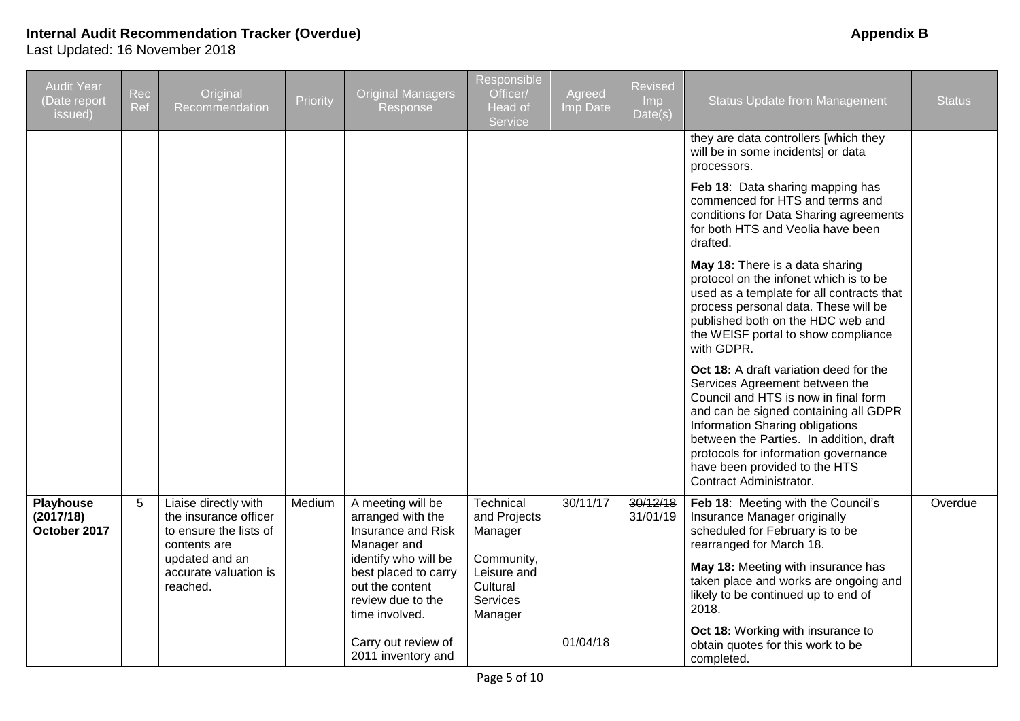| <b>Audit Year</b><br>Date report<br>issued) | Rec<br>Ref | Original<br>Recommendation                                                                                                                     | Priority | <b>Original Managers</b><br>Response                                                                                                                                                                                               | <b>Responsible</b><br>Officer/<br>Head of<br>Service                                                        | Agreed<br>Imp Date   | Revised<br>Imp<br>Date(s) | <b>Status Update from Management</b>                                                                                                                                                                                                                                                                                                                     | <b>Status</b> |
|---------------------------------------------|------------|------------------------------------------------------------------------------------------------------------------------------------------------|----------|------------------------------------------------------------------------------------------------------------------------------------------------------------------------------------------------------------------------------------|-------------------------------------------------------------------------------------------------------------|----------------------|---------------------------|----------------------------------------------------------------------------------------------------------------------------------------------------------------------------------------------------------------------------------------------------------------------------------------------------------------------------------------------------------|---------------|
|                                             |            |                                                                                                                                                |          |                                                                                                                                                                                                                                    |                                                                                                             |                      |                           | they are data controllers [which they<br>will be in some incidents] or data<br>processors.                                                                                                                                                                                                                                                               |               |
|                                             |            |                                                                                                                                                |          |                                                                                                                                                                                                                                    |                                                                                                             |                      |                           | Feb 18: Data sharing mapping has<br>commenced for HTS and terms and<br>conditions for Data Sharing agreements<br>for both HTS and Veolia have been<br>drafted.                                                                                                                                                                                           |               |
|                                             |            |                                                                                                                                                |          |                                                                                                                                                                                                                                    |                                                                                                             |                      |                           | May 18: There is a data sharing<br>protocol on the infonet which is to be<br>used as a template for all contracts that<br>process personal data. These will be<br>published both on the HDC web and<br>the WEISF portal to show compliance<br>with GDPR.                                                                                                 |               |
|                                             |            |                                                                                                                                                |          |                                                                                                                                                                                                                                    |                                                                                                             |                      |                           | Oct 18: A draft variation deed for the<br>Services Agreement between the<br>Council and HTS is now in final form<br>and can be signed containing all GDPR<br>Information Sharing obligations<br>between the Parties. In addition, draft<br>protocols for information governance<br>have been provided to the HTS<br>Contract Administrator.              |               |
| Playhouse<br>(2017/18)<br>October 2017      | 5          | Liaise directly with<br>the insurance officer<br>to ensure the lists of<br>contents are<br>updated and an<br>accurate valuation is<br>reached. | Medium   | A meeting will be<br>arranged with the<br>Insurance and Risk<br>Manager and<br>identify who will be<br>best placed to carry<br>out the content<br>review due to the<br>time involved.<br>Carry out review of<br>2011 inventory and | Technical<br>and Projects<br>Manager<br>Community,<br>Leisure and<br>Cultural<br><b>Services</b><br>Manager | 30/11/17<br>01/04/18 | 30/12/18<br>31/01/19      | Feb 18: Meeting with the Council's<br>Insurance Manager originally<br>scheduled for February is to be<br>rearranged for March 18.<br>May 18: Meeting with insurance has<br>taken place and works are ongoing and<br>likely to be continued up to end of<br>2018.<br>Oct 18: Working with insurance to<br>obtain quotes for this work to be<br>completed. | Overdue       |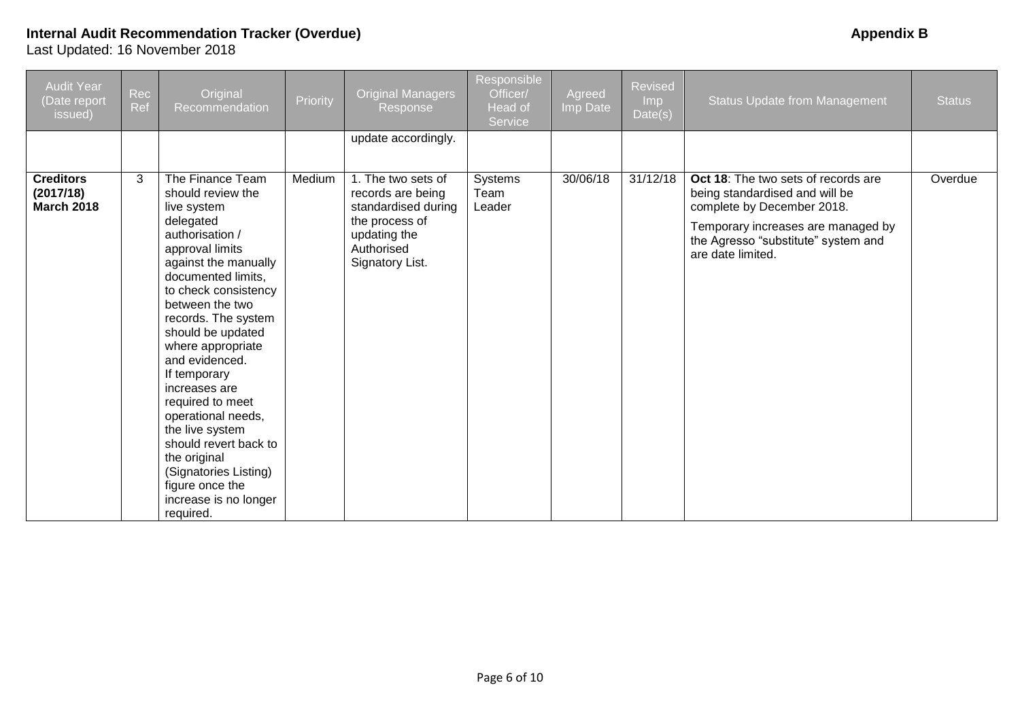| <b>Audit Year</b><br>(Date report<br>issued)       | Rec<br>Ref | Original<br>Recommendation                                                                                                                                                                                                                                                                                                                                                                                                                                                                                   | Priority | <b>Original Managers</b><br>Response                                                                                              | Responsible<br>Officer/<br>Head of<br>Service | Agreed<br>Imp Date | Revised<br><b>Imp</b><br>Date(s) | <b>Status Update from Management</b>                                                                                                                                                                  | <b>Status</b> |
|----------------------------------------------------|------------|--------------------------------------------------------------------------------------------------------------------------------------------------------------------------------------------------------------------------------------------------------------------------------------------------------------------------------------------------------------------------------------------------------------------------------------------------------------------------------------------------------------|----------|-----------------------------------------------------------------------------------------------------------------------------------|-----------------------------------------------|--------------------|----------------------------------|-------------------------------------------------------------------------------------------------------------------------------------------------------------------------------------------------------|---------------|
|                                                    |            |                                                                                                                                                                                                                                                                                                                                                                                                                                                                                                              |          | update accordingly.                                                                                                               |                                               |                    |                                  |                                                                                                                                                                                                       |               |
| <b>Creditors</b><br>(2017/18)<br><b>March 2018</b> | 3          | The Finance Team<br>should review the<br>live system<br>delegated<br>authorisation /<br>approval limits<br>against the manually<br>documented limits,<br>to check consistency<br>between the two<br>records. The system<br>should be updated<br>where appropriate<br>and evidenced.<br>If temporary<br>increases are<br>required to meet<br>operational needs,<br>the live system<br>should revert back to<br>the original<br>(Signatories Listing)<br>figure once the<br>increase is no longer<br>required. | Medium   | 1. The two sets of<br>records are being<br>standardised during<br>the process of<br>updating the<br>Authorised<br>Signatory List. | Systems<br>Team<br>Leader                     | 30/06/18           | 31/12/18                         | Oct 18: The two sets of records are<br>being standardised and will be<br>complete by December 2018.<br>Temporary increases are managed by<br>the Agresso "substitute" system and<br>are date limited. | Overdue       |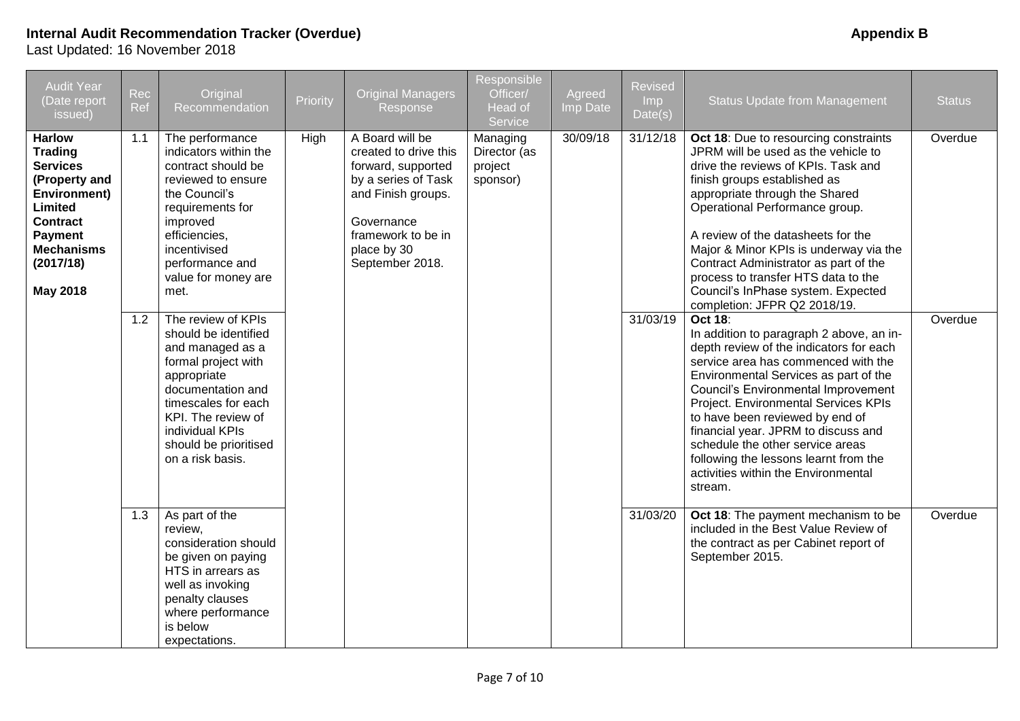| <b>Audit Year</b><br>(Date report<br>issued)                                                                                                                                             | Rec<br>Ref | Original<br>Recommendation                                                                                                                                                                                                             | Priority | <b>Original Managers</b><br>Response                                                                                                                                              | Responsible<br>Officer/<br>Head of<br>Service   | Agreed<br>Imp Date | Revised<br>Imp<br>Date(s) | <b>Status Update from Management</b>                                                                                                                                                                                                                                                                                                                                                                                                                                                 | <b>Status</b> |
|------------------------------------------------------------------------------------------------------------------------------------------------------------------------------------------|------------|----------------------------------------------------------------------------------------------------------------------------------------------------------------------------------------------------------------------------------------|----------|-----------------------------------------------------------------------------------------------------------------------------------------------------------------------------------|-------------------------------------------------|--------------------|---------------------------|--------------------------------------------------------------------------------------------------------------------------------------------------------------------------------------------------------------------------------------------------------------------------------------------------------------------------------------------------------------------------------------------------------------------------------------------------------------------------------------|---------------|
| <b>Harlow</b><br><b>Trading</b><br><b>Services</b><br>(Property and<br>Environment)<br><b>Limited</b><br><b>Contract</b><br>Payment<br><b>Mechanisms</b><br>(2017/18)<br><b>May 2018</b> | 1.1        | The performance<br>indicators within the<br>contract should be<br>reviewed to ensure<br>the Council's<br>requirements for<br>improved<br>efficiencies,<br>incentivised<br>performance and<br>value for money are<br>met.               | High     | A Board will be<br>created to drive this<br>forward, supported<br>by a series of Task<br>and Finish groups.<br>Governance<br>framework to be in<br>place by 30<br>September 2018. | Managing<br>Director (as<br>project<br>sponsor) | 30/09/18           | 31/12/18                  | Oct 18: Due to resourcing constraints<br>JPRM will be used as the vehicle to<br>drive the reviews of KPIs. Task and<br>finish groups established as<br>appropriate through the Shared<br>Operational Performance group.<br>A review of the datasheets for the<br>Major & Minor KPIs is underway via the<br>Contract Administrator as part of the<br>process to transfer HTS data to the<br>Council's InPhase system. Expected<br>completion: JFPR Q2 2018/19.                        | Overdue       |
|                                                                                                                                                                                          | 1.2        | The review of KPIs<br>should be identified<br>and managed as a<br>formal project with<br>appropriate<br>documentation and<br>timescales for each<br>KPI. The review of<br>individual KPIs<br>should be prioritised<br>on a risk basis. |          |                                                                                                                                                                                   |                                                 |                    | 31/03/19                  | <b>Oct 18:</b><br>In addition to paragraph 2 above, an in-<br>depth review of the indicators for each<br>service area has commenced with the<br>Environmental Services as part of the<br><b>Council's Environmental Improvement</b><br>Project. Environmental Services KPIs<br>to have been reviewed by end of<br>financial year. JPRM to discuss and<br>schedule the other service areas<br>following the lessons learnt from the<br>activities within the Environmental<br>stream. | Overdue       |
|                                                                                                                                                                                          | 1.3        | As part of the<br>review,<br>consideration should<br>be given on paying<br>HTS in arrears as<br>well as invoking<br>penalty clauses<br>where performance<br>is below<br>expectations.                                                  |          |                                                                                                                                                                                   |                                                 |                    | 31/03/20                  | Oct 18: The payment mechanism to be<br>included in the Best Value Review of<br>the contract as per Cabinet report of<br>September 2015.                                                                                                                                                                                                                                                                                                                                              | Overdue       |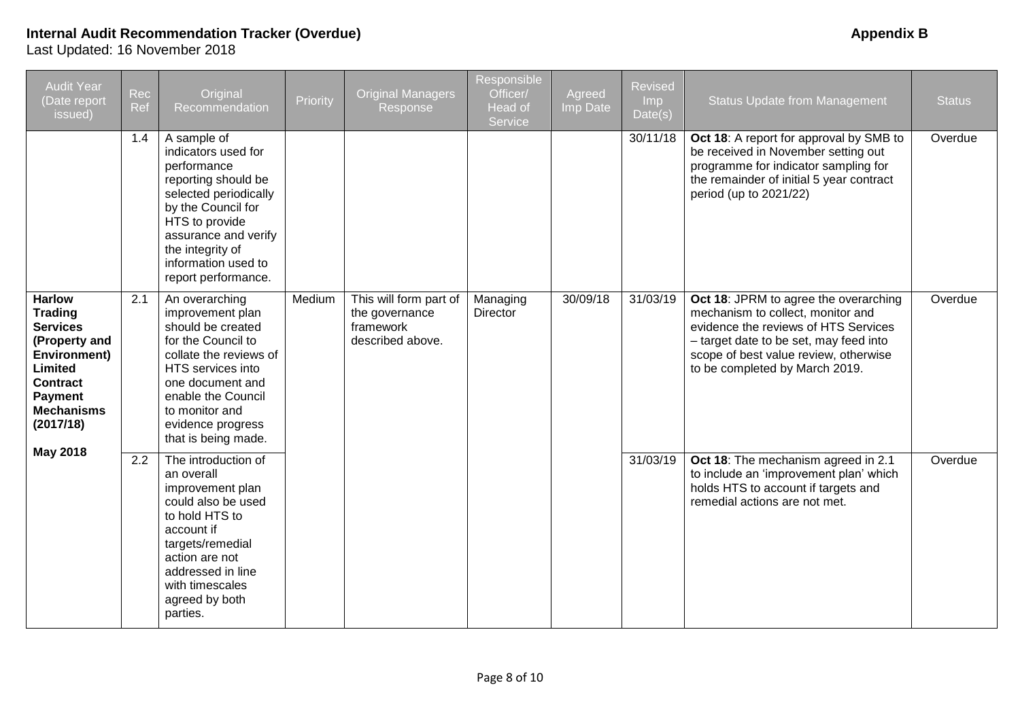| <b>Audit Year</b><br>(Date report<br>issued)                                                                                                                                      | Rec<br>Ref | Original<br>Recommendation                                                                                                                                                                                                           | Priority | <b>Original Managers</b><br>Response                                      | Responsible<br>Officer/<br>Head of<br><b>Service</b> | Agreed<br>Imp Date | <b>Revised</b><br>I <sub>mp</sub><br>Data(s) | <b>Status Update from Management</b>                                                                                                                                                                                                    | <b>Status</b> |
|-----------------------------------------------------------------------------------------------------------------------------------------------------------------------------------|------------|--------------------------------------------------------------------------------------------------------------------------------------------------------------------------------------------------------------------------------------|----------|---------------------------------------------------------------------------|------------------------------------------------------|--------------------|----------------------------------------------|-----------------------------------------------------------------------------------------------------------------------------------------------------------------------------------------------------------------------------------------|---------------|
|                                                                                                                                                                                   | 1.4        | A sample of<br>indicators used for<br>performance<br>reporting should be<br>selected periodically<br>by the Council for<br>HTS to provide<br>assurance and verify<br>the integrity of<br>information used to<br>report performance.  |          |                                                                           |                                                      |                    | 30/11/18                                     | Oct 18: A report for approval by SMB to<br>be received in November setting out<br>programme for indicator sampling for<br>the remainder of initial 5 year contract<br>period (up to 2021/22)                                            | Overdue       |
| <b>Harlow</b><br><b>Trading</b><br><b>Services</b><br>(Property and<br>Environment)<br>Limited<br><b>Contract</b><br>Payment<br><b>Mechanisms</b><br>(2017/18)<br><b>May 2018</b> | 2.1        | An overarching<br>improvement plan<br>should be created<br>for the Council to<br>collate the reviews of<br>HTS services into<br>one document and<br>enable the Council<br>to monitor and<br>evidence progress<br>that is being made. | Medium   | This will form part of<br>the governance<br>framework<br>described above. | Managing<br>Director                                 | 30/09/18           | 31/03/19                                     | Oct 18: JPRM to agree the overarching<br>mechanism to collect, monitor and<br>evidence the reviews of HTS Services<br>- target date to be set, may feed into<br>scope of best value review, otherwise<br>to be completed by March 2019. | Overdue       |
|                                                                                                                                                                                   | 2.2        | The introduction of<br>an overall<br>improvement plan<br>could also be used<br>to hold HTS to<br>account if<br>targets/remedial<br>action are not<br>addressed in line<br>with timescales<br>agreed by both<br>parties.              |          |                                                                           |                                                      |                    | 31/03/19                                     | Oct 18: The mechanism agreed in 2.1<br>to include an 'improvement plan' which<br>holds HTS to account if targets and<br>remedial actions are not met.                                                                                   | Overdue       |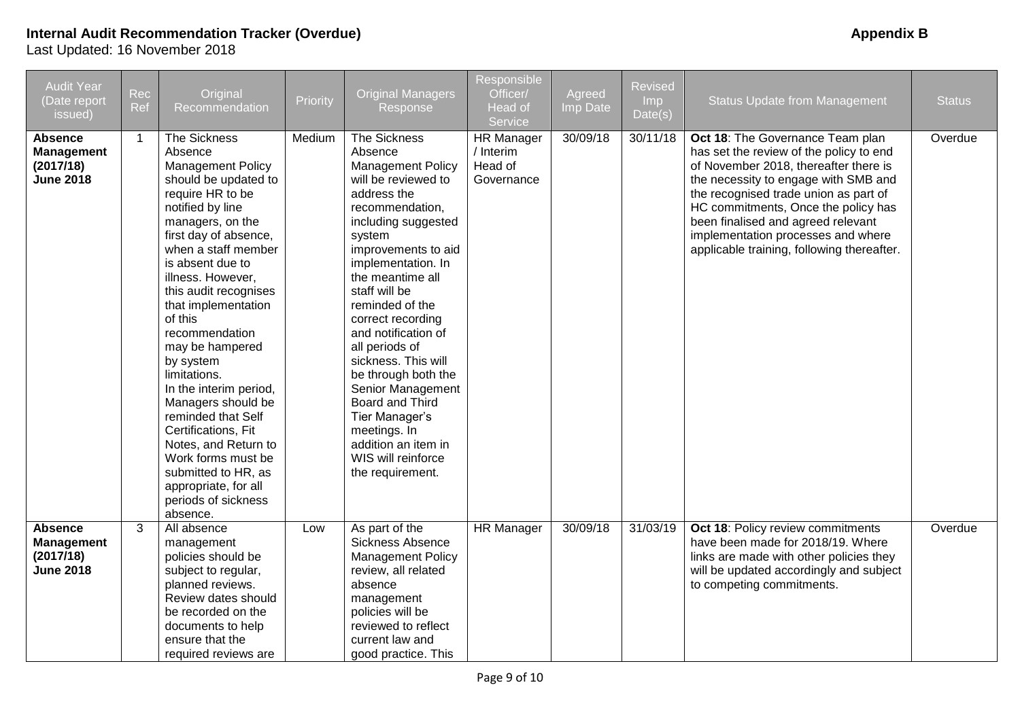| <b>Audit Year</b><br>(Date report<br>issued)                         | Rec<br>Ref     | Original<br>Recommendation                                                                                                                                                                                                                                                                                                                                                                                                                                                                                                                                                                 | Priority | <b>Original Managers</b><br>Response                                                                                                                                                                                                                                                                                                                                                                                                                                                                             | Responsible<br>Officer/<br><b>Head of</b><br>Service    | Agreed<br>Imp Date | <b>Revised</b><br>Imp<br>Date(s) | <b>Status Update from Management</b>                                                                                                                                                                                                                                                                                                                                   | <b>Status</b> |
|----------------------------------------------------------------------|----------------|--------------------------------------------------------------------------------------------------------------------------------------------------------------------------------------------------------------------------------------------------------------------------------------------------------------------------------------------------------------------------------------------------------------------------------------------------------------------------------------------------------------------------------------------------------------------------------------------|----------|------------------------------------------------------------------------------------------------------------------------------------------------------------------------------------------------------------------------------------------------------------------------------------------------------------------------------------------------------------------------------------------------------------------------------------------------------------------------------------------------------------------|---------------------------------------------------------|--------------------|----------------------------------|------------------------------------------------------------------------------------------------------------------------------------------------------------------------------------------------------------------------------------------------------------------------------------------------------------------------------------------------------------------------|---------------|
| <b>Absence</b><br><b>Management</b><br>(2017/18)<br><b>June 2018</b> | $\overline{1}$ | The Sickness<br>Absence<br><b>Management Policy</b><br>should be updated to<br>require HR to be<br>notified by line<br>managers, on the<br>first day of absence,<br>when a staff member<br>is absent due to<br>illness. However,<br>this audit recognises<br>that implementation<br>of this<br>recommendation<br>may be hampered<br>by system<br>limitations.<br>In the interim period,<br>Managers should be<br>reminded that Self<br>Certifications, Fit<br>Notes, and Return to<br>Work forms must be<br>submitted to HR, as<br>appropriate, for all<br>periods of sickness<br>absence. | Medium   | <b>The Sickness</b><br>Absence<br><b>Management Policy</b><br>will be reviewed to<br>address the<br>recommendation,<br>including suggested<br>system<br>improvements to aid<br>implementation. In<br>the meantime all<br>staff will be<br>reminded of the<br>correct recording<br>and notification of<br>all periods of<br>sickness. This will<br>be through both the<br>Senior Management<br>Board and Third<br>Tier Manager's<br>meetings. In<br>addition an item in<br>WIS will reinforce<br>the requirement. | <b>HR Manager</b><br>/ Interim<br>Head of<br>Governance | 30/09/18           | 30/11/18                         | Oct 18: The Governance Team plan<br>has set the review of the policy to end<br>of November 2018, thereafter there is<br>the necessity to engage with SMB and<br>the recognised trade union as part of<br>HC commitments, Once the policy has<br>been finalised and agreed relevant<br>implementation processes and where<br>applicable training, following thereafter. | Overdue       |
| <b>Absence</b><br><b>Management</b><br>(2017/18)<br><b>June 2018</b> | 3              | All absence<br>management<br>policies should be<br>subject to regular,<br>planned reviews.<br>Review dates should<br>be recorded on the<br>documents to help<br>ensure that the<br>required reviews are                                                                                                                                                                                                                                                                                                                                                                                    | Low      | As part of the<br>Sickness Absence<br><b>Management Policy</b><br>review, all related<br>absence<br>management<br>policies will be<br>reviewed to reflect<br>current law and<br>good practice. This                                                                                                                                                                                                                                                                                                              | <b>HR Manager</b>                                       | 30/09/18           | 31/03/19                         | Oct 18: Policy review commitments<br>have been made for 2018/19. Where<br>links are made with other policies they<br>will be updated accordingly and subject<br>to competing commitments.                                                                                                                                                                              | Overdue       |